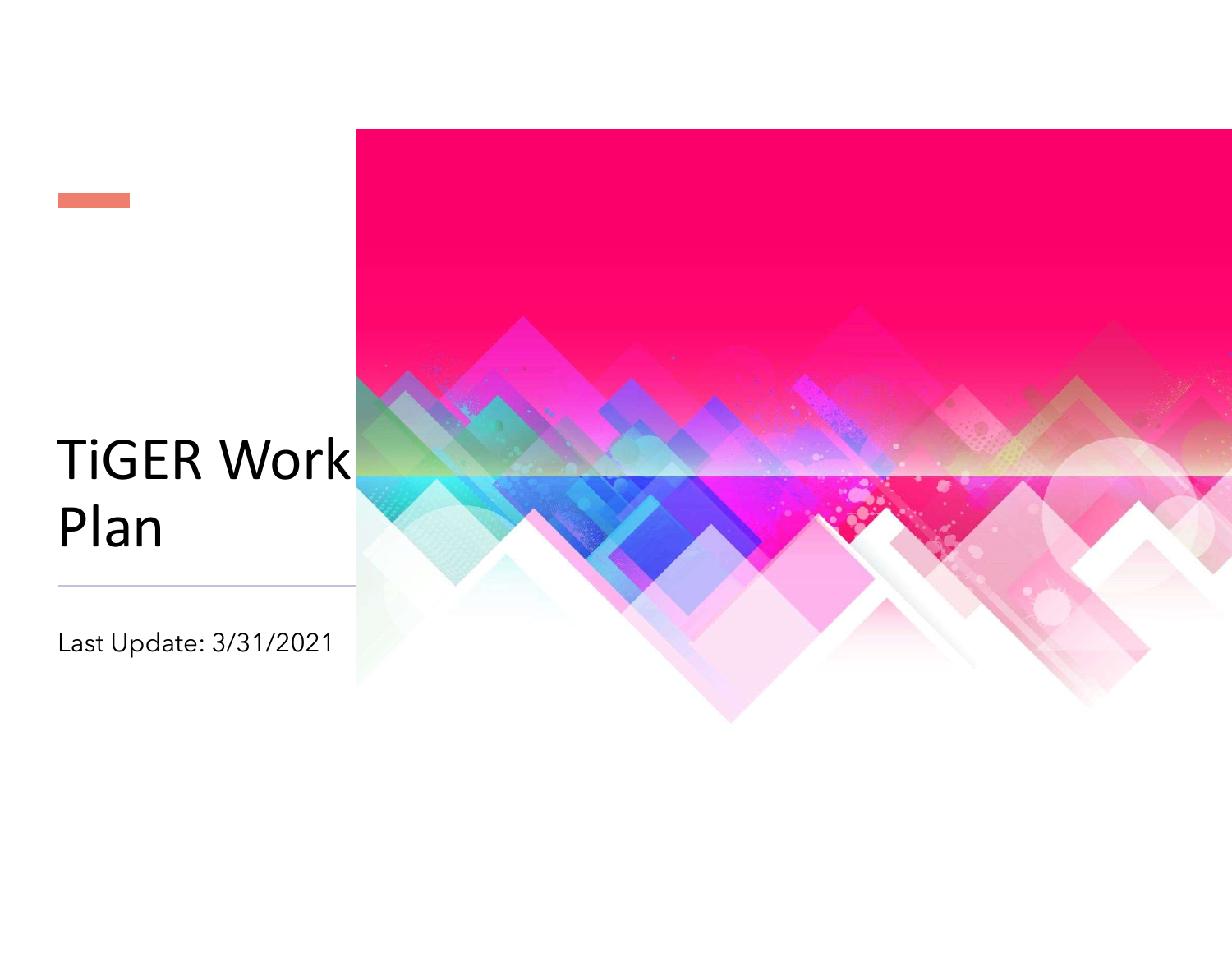## TiGER Work Plan

Last Update: 3/31/2021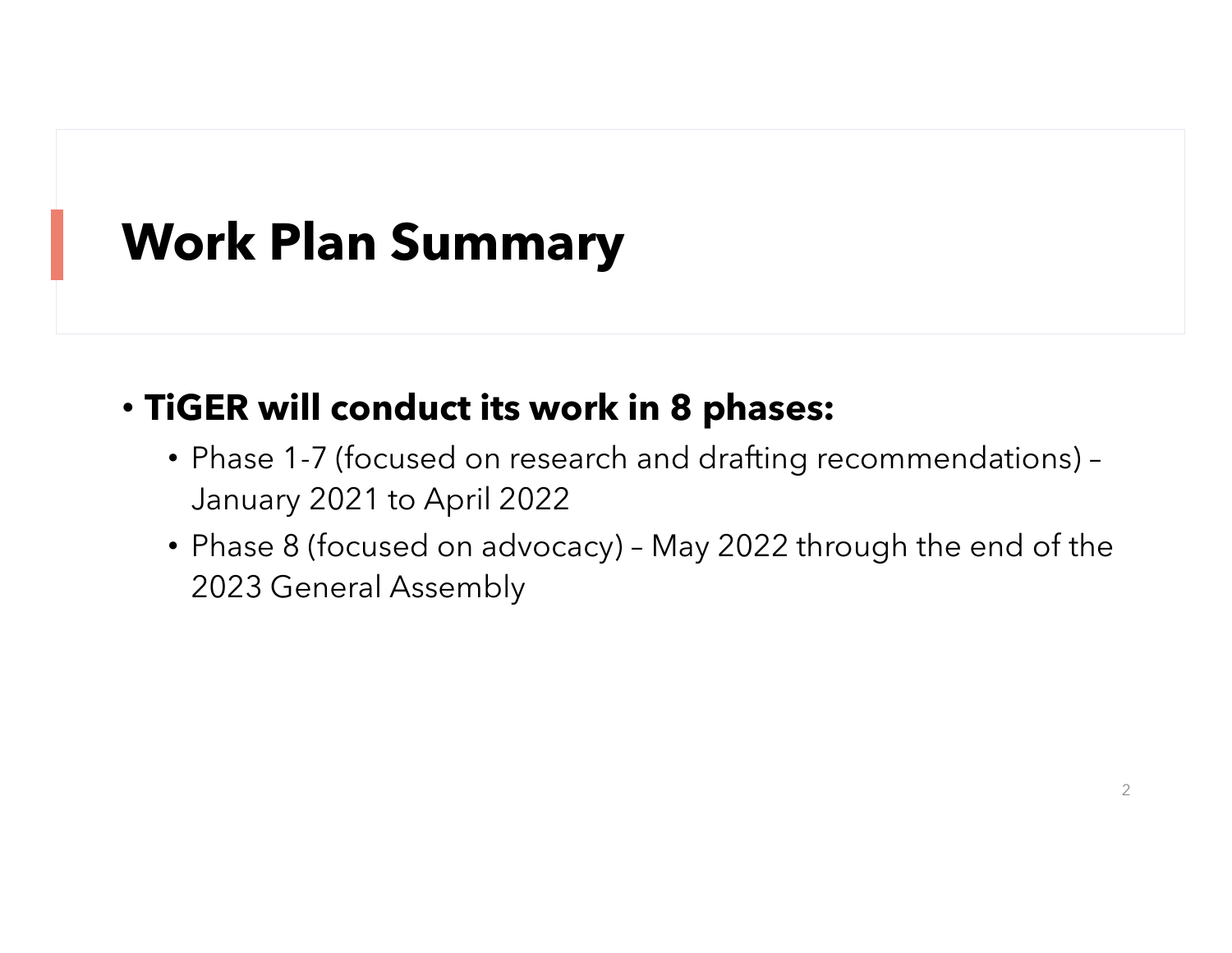## Work Plan Summary

## • TiGER will conduct its work in 8 phases:

- Phase 1-7 (focused on research and drafting recommendations) January 2021 to April 2022
- **Fan Summary<br>• Phase 1-7 (focused on research and drafting recommendations)**<br>• Phase 1-7 (focused on research and drafting recommendations)-<br>• Phase 8 (focused on advocacy) May 2022 through the end of the<br>2023 General As 2023 General Assembly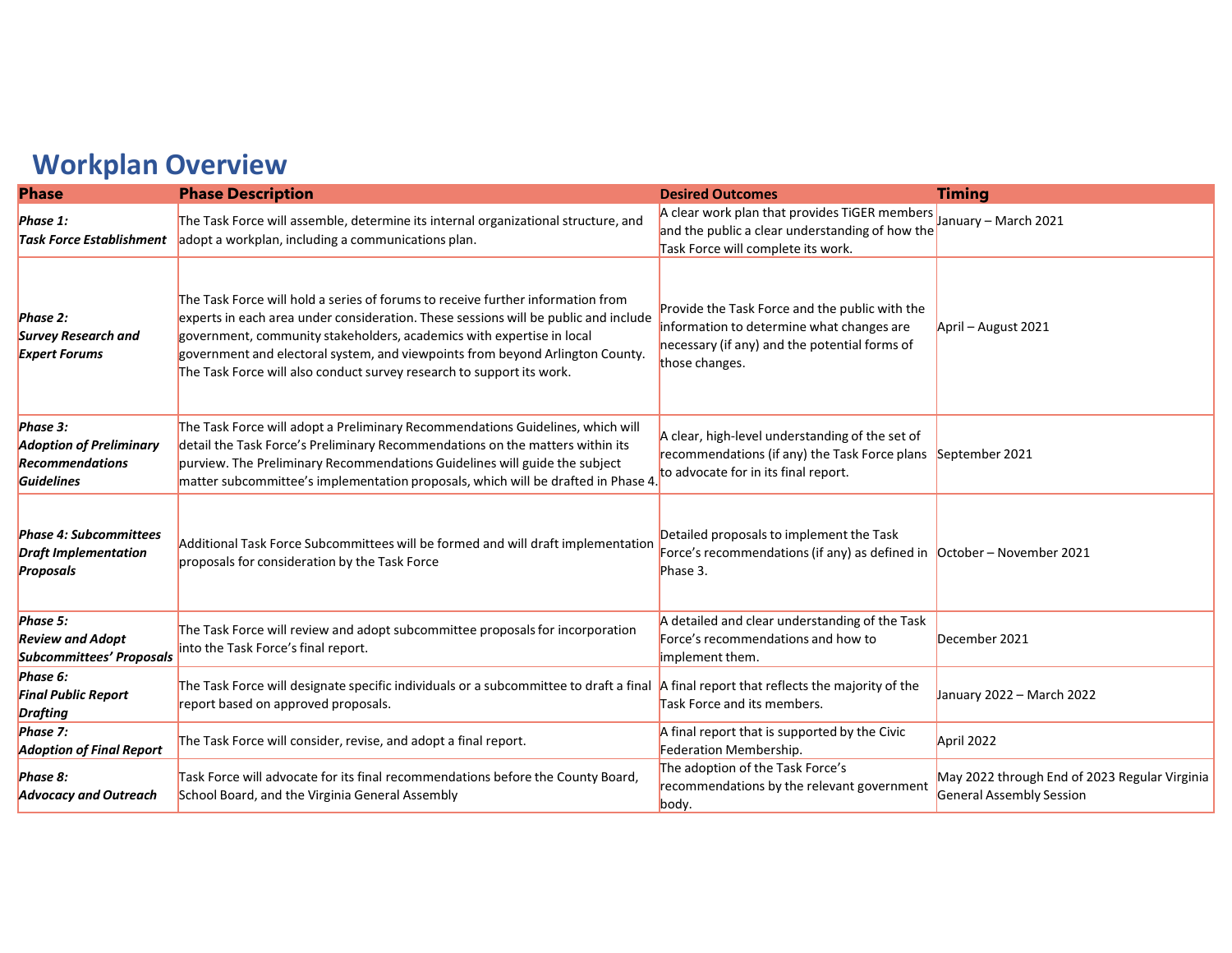## Workplan Overview

| <b>Workplan Overview</b>                                                           |                                                                                                                                                                                                                                                                                                                                                                                                           |                                                                                                                                                                |                                                                           |
|------------------------------------------------------------------------------------|-----------------------------------------------------------------------------------------------------------------------------------------------------------------------------------------------------------------------------------------------------------------------------------------------------------------------------------------------------------------------------------------------------------|----------------------------------------------------------------------------------------------------------------------------------------------------------------|---------------------------------------------------------------------------|
| <b>Phase</b>                                                                       | <b>Phase Description</b>                                                                                                                                                                                                                                                                                                                                                                                  | <b>Desired Outcomes</b>                                                                                                                                        | <b>Timing</b>                                                             |
| Phase 1:                                                                           | The Task Force will assemble, determine its internal organizational structure, and<br>Task Force Establishment adopt a workplan, including a communications plan.                                                                                                                                                                                                                                         | A clear work plan that provides TiGER members<br>and the public a clear understanding of how the<br>Task Force will complete its work.                         | January - March 2021                                                      |
| Phase 2:<br><b>Survey Research and</b><br><b>Expert Forums</b>                     | The Task Force will hold a series of forums to receive further information from<br>experts in each area under consideration. These sessions will be public and include<br>government, community stakeholders, academics with expertise in local<br>government and electoral system, and viewpoints from beyond Arlington County.<br>The Task Force will also conduct survey research to support its work. | Provide the Task Force and the public with the<br>information to determine what changes are<br>necessary (if any) and the potential forms of<br>those changes. | April - August 2021                                                       |
| Phase 3:<br><b>Adoption of Preliminary</b><br><b>Recommendations</b><br>Guidelines | The Task Force will adopt a Preliminary Recommendations Guidelines, which will<br>detail the Task Force's Preliminary Recommendations on the matters within its<br>purview. The Preliminary Recommendations Guidelines will guide the subject<br>matter subcommittee's implementation proposals, which will be drafted in Phase 4                                                                         | A clear, high-level understanding of the set of<br>recommendations (if any) the Task Force plans September 2021<br>to advocate for in its final report.        |                                                                           |
| <b>Phase 4: Subcommittees</b><br><b>Draft Implementation</b><br><b>Proposals</b>   | Additional Task Force Subcommittees will be formed and will draft implementation<br>proposals for consideration by the Task Force                                                                                                                                                                                                                                                                         | Detailed proposals to implement the Task<br>Force's recommendations (if any) as defined in $\vert$ October – November 2021<br>Phase 3.                         |                                                                           |
| Phase 5:<br><b>Review and Adopt</b><br><b>Subcommittees' Proposals</b>             | The Task Force will review and adopt subcommittee proposals for incorporation<br>into the Task Force's final report.                                                                                                                                                                                                                                                                                      | A detailed and clear understanding of the Task<br>Force's recommendations and how to<br>implement them.                                                        | December 2021                                                             |
| Phase 6:<br><b>Final Public Report</b><br><b>Drafting</b>                          | The Task Force will designate specific individuals or a subcommittee to draft a final A final report that reflects the majority of the<br>report based on approved proposals.                                                                                                                                                                                                                             | Task Force and its members.                                                                                                                                    | January 2022 - March 2022                                                 |
| Phase 7:<br><b>Adoption of Final Report</b>                                        | The Task Force will consider, revise, and adopt a final report.                                                                                                                                                                                                                                                                                                                                           | A final report that is supported by the Civic<br>Federation Membership.                                                                                        | April 2022                                                                |
| Phase 8:                                                                           | Task Force will advocate for its final recommendations before the County Board,<br>School Board, and the Virginia General Assembly                                                                                                                                                                                                                                                                        | The adoption of the Task Force's<br>recommendations by the relevant government<br>body.                                                                        | May 2022 through End of 2023 Regular Virginia<br>General Assembly Session |